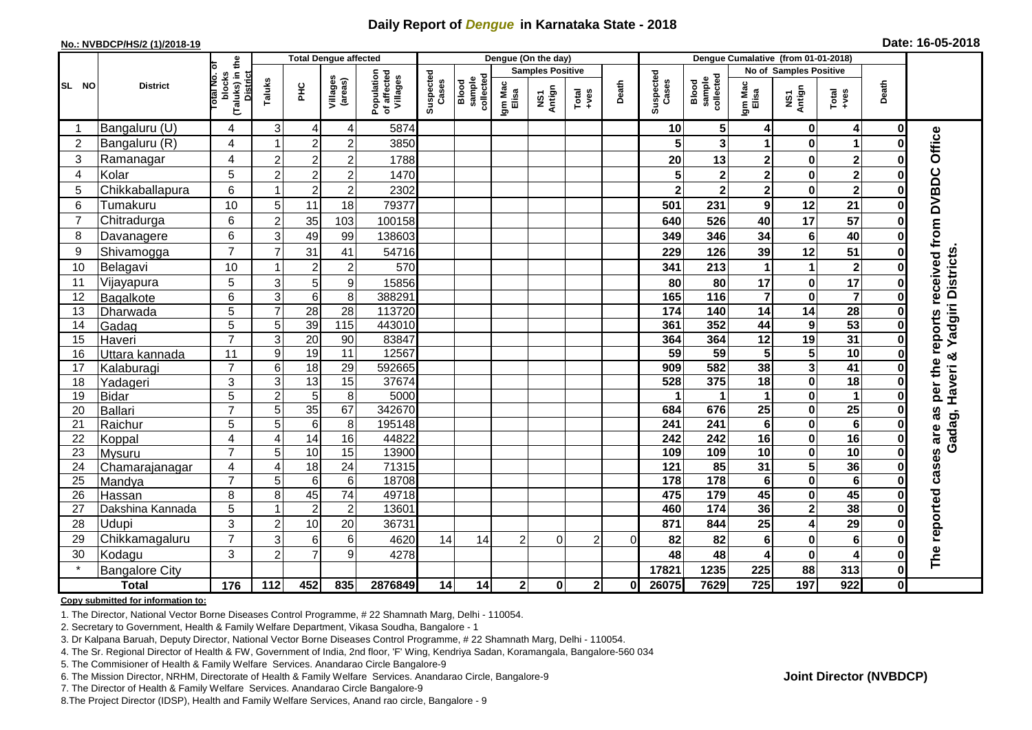## **Daily Report of** *Dengue* **in Karnataka State - 2018**

#### **No.: NVBDCP/HS/2 (1)/2018-19**

| Date: 16-05-2018 |  |  |  |  |  |  |
|------------------|--|--|--|--|--|--|
|------------------|--|--|--|--|--|--|

|                |                       |                                                       |                           | <b>Total Dengue affected</b> |                   |                     | Dengue (On the day)                   |                    |                              |                         |                |                                                              |                  | Dengue Cumalative (from 01-01-2018) |                              |                         |                         |                  |                     |  |
|----------------|-----------------------|-------------------------------------------------------|---------------------------|------------------------------|-------------------|---------------------|---------------------------------------|--------------------|------------------------------|-------------------------|----------------|--------------------------------------------------------------|------------------|-------------------------------------|------------------------------|-------------------------|-------------------------|------------------|---------------------|--|
|                |                       |                                                       |                           |                              |                   |                     |                                       |                    |                              | <b>Samples Positive</b> |                |                                                              |                  |                                     |                              | No of Samples Positive  |                         |                  |                     |  |
| <b>SL NO</b>   | <b>District</b>       | (Taluks) in the<br>District<br>lotal No. ol<br>blocks |                           | Taluks                       | <b>PHC</b>        | Villages<br>(areas) | Population<br>of affected<br>Villages | Suspected<br>Cases | sample<br>collected<br>Blood | Igm Mac<br>Elisa        | NS1<br>Antign  | $\begin{array}{c}\n\text{Total} \\ \text{+ves}\n\end{array}$ | Death            | Suspected<br>Cases                  | collected<br>sample<br>Blood | Igm Mac<br>Elisa        | NS1<br>Antign           | $Tota$<br>$+ves$ | Death               |  |
| -1             | Bangaluru (U)         | 4                                                     | 3                         | $\overline{4}$               | 4                 | 5874                |                                       |                    |                              |                         |                |                                                              | 10               | 5 <sub>5</sub>                      | 4                            | $\mathbf 0$             | $\overline{\mathbf{4}}$ | 0                |                     |  |
| $\overline{2}$ | Bangaluru (R)         | 4                                                     | -1                        | $\overline{2}$               | $\mathbf 2$       | 3850                |                                       |                    |                              |                         |                |                                                              |                  | 3                                   | 1                            | $\bf{0}$                | 1                       | O                |                     |  |
| 3              | Ramanagar             | 4                                                     | $\overline{2}$            | $\overline{2}$               | $\overline{c}$    | 1788                |                                       |                    |                              |                         |                |                                                              | 20               | 13                                  | 2                            | $\mathbf 0$             | $\mathbf{2}$            | ŋ                | Office              |  |
| $\overline{4}$ | Kolar                 | 5                                                     | $\overline{c}$            | $\overline{2}$               | $\overline{c}$    | 1470                |                                       |                    |                              |                         |                |                                                              |                  | $\overline{\mathbf{2}}$             | $\overline{\mathbf{2}}$      | $\mathbf 0$             | $\overline{\mathbf{2}}$ | $\bf{0}$         |                     |  |
| 5              | Chikkaballapura       | 6                                                     | -1                        | $\overline{c}$               | $\overline{c}$    | 2302                |                                       |                    |                              |                         |                |                                                              |                  | $\overline{\mathbf{2}}$             | $\overline{\mathbf{2}}$      | $\pmb{0}$               | $\overline{2}$          | 0                |                     |  |
| 6              | Tumakuru              | 10                                                    | 5                         | 11                           | 18                | 79377               |                                       |                    |                              |                         |                |                                                              | 501              | 231                                 | 9                            | 12                      | 21                      | 0                |                     |  |
| $\overline{7}$ | Chitradurga           | 6                                                     | $\overline{2}$            | 35                           | 103               | 100158              |                                       |                    |                              |                         |                |                                                              | 640              | 526                                 | 40                           | 17                      | 57                      | 0                |                     |  |
| 8              | Davanagere            | 6                                                     | 3                         | 49                           | 99                | 138603              |                                       |                    |                              |                         |                |                                                              | 349              | 346                                 | 34                           | $\bf 6$                 | 40                      | 0                |                     |  |
| 9              | Shivamogga            | $\overline{7}$                                        | $\overline{7}$            | 31                           | 41                | 54716               |                                       |                    |                              |                         |                |                                                              | 229              | 126                                 | 39                           | 12                      | 51                      | $\bf{0}$         | received from DVBDC |  |
| 10             | Belagavi              | 10                                                    |                           | $\overline{2}$               | $\overline{c}$    | 570                 |                                       |                    |                              |                         |                |                                                              | 341              | 213                                 | 1                            | $\mathbf 1$             | $\mathbf 2$             | O                | Yadgiri Districts   |  |
| 11             | Vijayapura            | 5                                                     | 3                         | 5                            | 9                 | 15856               |                                       |                    |                              |                         |                |                                                              | 80               | 80                                  | 17                           | $\bf{0}$                | $\overline{17}$         | $\bf{0}$         |                     |  |
| 12             | Bagalkote             | 6                                                     | $\ensuremath{\mathsf{3}}$ | $\,6$                        | 8                 | 388291              |                                       |                    |                              |                         |                |                                                              | 165              | 116                                 | $\overline{7}$               | $\mathbf 0$             | $\overline{\mathbf{7}}$ | $\bf{0}$         |                     |  |
| 13             | Dharwada              | $\overline{5}$                                        | $\overline{7}$            | $\overline{28}$              | $\overline{28}$   | 113720              |                                       |                    |                              |                         |                |                                                              | $\frac{1}{174}$  | 140                                 | $\overline{14}$              | $\overline{14}$         | $\overline{28}$         |                  |                     |  |
| 14             | Gadag                 | $\overline{5}$                                        | $\overline{5}$            | 39                           | $\frac{115}{115}$ | 443010              |                                       |                    |                              |                         |                |                                                              | 361              | 352                                 | 44                           | $\boldsymbol{9}$        | 53                      | 0                | reports             |  |
| 15             | Haveri                | $\overline{7}$                                        | 3                         | 20                           | 90                | 83847               |                                       |                    |                              |                         |                |                                                              | 364              | 364                                 | 12                           | 19                      | 31                      | O                |                     |  |
| 16             | Uttara kannada        | 11                                                    | 9                         | 19                           | $\overline{11}$   | 12567               |                                       |                    |                              |                         |                |                                                              | 59               | 59                                  | $\overline{5}$               | $\overline{\mathbf{5}}$ | 10                      | $\bf{0}$         | ఱ                   |  |
| 17             | Kalaburagi            | $\overline{7}$                                        | $\,6$                     | $\overline{18}$              | 29                | 592665              |                                       |                    |                              |                         |                |                                                              | 909              | 582                                 | 38                           | $\overline{\mathbf{3}}$ | $\overline{41}$         | O                | per the<br>Haveri   |  |
| 18             | Yadageri              | 3                                                     | 3                         | $\overline{13}$              | 15                | 37674               |                                       |                    |                              |                         |                |                                                              | 528              | 375                                 | 18                           | $\mathbf 0$             | 18                      | O                |                     |  |
| 19             | <b>Bidar</b>          | 5                                                     | $\overline{2}$            | $\overline{5}$               | 8                 | 5000                |                                       |                    |                              |                         |                |                                                              |                  |                                     | 1                            | $\pmb{0}$               | $\mathbf 1$             | O                |                     |  |
| 20             | <b>Ballari</b>        | $\overline{7}$                                        | 5                         | $\overline{35}$              | 67                | 342670              |                                       |                    |                              |                         |                |                                                              | 684              | 676                                 | 25                           | $\bf{0}$                | $\overline{25}$         |                  | as                  |  |
| 21             | Raichur               | 5                                                     | 5                         | $\overline{6}$               | $\,8\,$           | 195148              |                                       |                    |                              |                         |                |                                                              | $\overline{241}$ | 241                                 | $\bf 6$                      | $\mathbf 0$             | $\overline{6}$          | $\bf{0}$         |                     |  |
| 22             | Koppal                | 4                                                     | $\overline{4}$            | 14                           | 16                | 44822               |                                       |                    |                              |                         |                |                                                              | 242              | 242                                 | 16                           | $\mathbf 0$             | 16                      |                  | Gadag, I            |  |
| 23             | Mysuru                | $\overline{7}$                                        | 5                         | 10                           | 15                | 13900               |                                       |                    |                              |                         |                |                                                              | 109              | 109                                 | 10                           | $\mathbf 0$             | 10                      | $\bf{0}$         |                     |  |
| 24             | Chamarajanagar        | 4                                                     | 4                         | 18                           | 24                | 71315               |                                       |                    |                              |                         |                |                                                              | 121              | 85                                  | $\overline{31}$              | $\overline{\mathbf{5}}$ | 36                      | $\bf{0}$         | cases are           |  |
| 25             | Mandya                | $\overline{7}$                                        | 5                         | 6                            | 6                 | 18708               |                                       |                    |                              |                         |                |                                                              | 178              | 178                                 | $6\phantom{1}$               | $\overline{\mathbf{0}}$ | $6\phantom{1}6$         | $\bf{0}$         |                     |  |
| 26             | Hassan                | 8                                                     | 8                         | 45                           | $\overline{74}$   | 49718               |                                       |                    |                              |                         |                |                                                              | 475              | $\frac{1}{179}$                     | 45                           | $\mathbf 0$             | 45                      | 0                |                     |  |
| 27             | Dakshina Kannada      | 5                                                     |                           | $\overline{2}$               | $\overline{2}$    | 13601               |                                       |                    |                              |                         |                |                                                              | 460              | $\overline{174}$                    | 36                           | $\overline{\mathbf{2}}$ | 38                      | 0                |                     |  |
| 28             | Udupi                 | 3                                                     | $\overline{2}$            | 10                           | 20                | 36731               |                                       |                    |                              |                         |                |                                                              | 871              | 844                                 | 25                           | 4                       | 29                      | 0                |                     |  |
| 29             | Chikkamagaluru        | $\overline{7}$                                        | 3                         | 6                            | 6                 | 4620                | 14                                    | 14                 | $\overline{2}$               | $\Omega$                | $\overline{2}$ | 0                                                            | 82               | 82                                  | 6                            | $\mathbf 0$             | 6                       |                  | The reported        |  |
| 30             | Kodagu                | 3                                                     | $\overline{c}$            | $\overline{7}$               | 9                 | 4278                |                                       |                    |                              |                         |                |                                                              | 48               | 48                                  | 4                            | $\pmb{0}$               | 4                       | 0                |                     |  |
|                | <b>Bangalore City</b> |                                                       |                           |                              |                   |                     |                                       |                    |                              |                         |                |                                                              | 17821            | 1235                                | 225                          | 88                      | 313                     | 0                |                     |  |
|                | <b>Total</b>          | $\frac{1}{176}$                                       | 112                       | 452                          | 835               | 2876849             | 14                                    | 14                 | $\mathbf{2}$                 | $\mathbf 0$             | $\mathbf{2}$   | 01                                                           | 26075            | 7629                                | 725                          | 197                     | 922                     | 0                |                     |  |

#### **Copy submitted for information to:**

1. The Director, National Vector Borne Diseases Control Programme, # 22 Shamnath Marg, Delhi - 110054.

2. Secretary to Government, Health & Family Welfare Department, Vikasa Soudha, Bangalore - 1

3. Dr Kalpana Baruah, Deputy Director, National Vector Borne Diseases Control Programme, # 22 Shamnath Marg, Delhi - 110054.

4. The Sr. Regional Director of Health & FW, Government of India, 2nd floor, 'F' Wing, Kendriya Sadan, Koramangala, Bangalore-560 034

5. The Commisioner of Health & Family Welfare Services. Anandarao Circle Bangalore-9

6. The Mission Director, NRHM, Directorate of Health & Family Welfare Services. Anandarao Circle, Bangalore-9

7. The Director of Health & Family Welfare Services. Anandarao Circle Bangalore-9

8.The Project Director (IDSP), Health and Family Welfare Services, Anand rao circle, Bangalore - 9